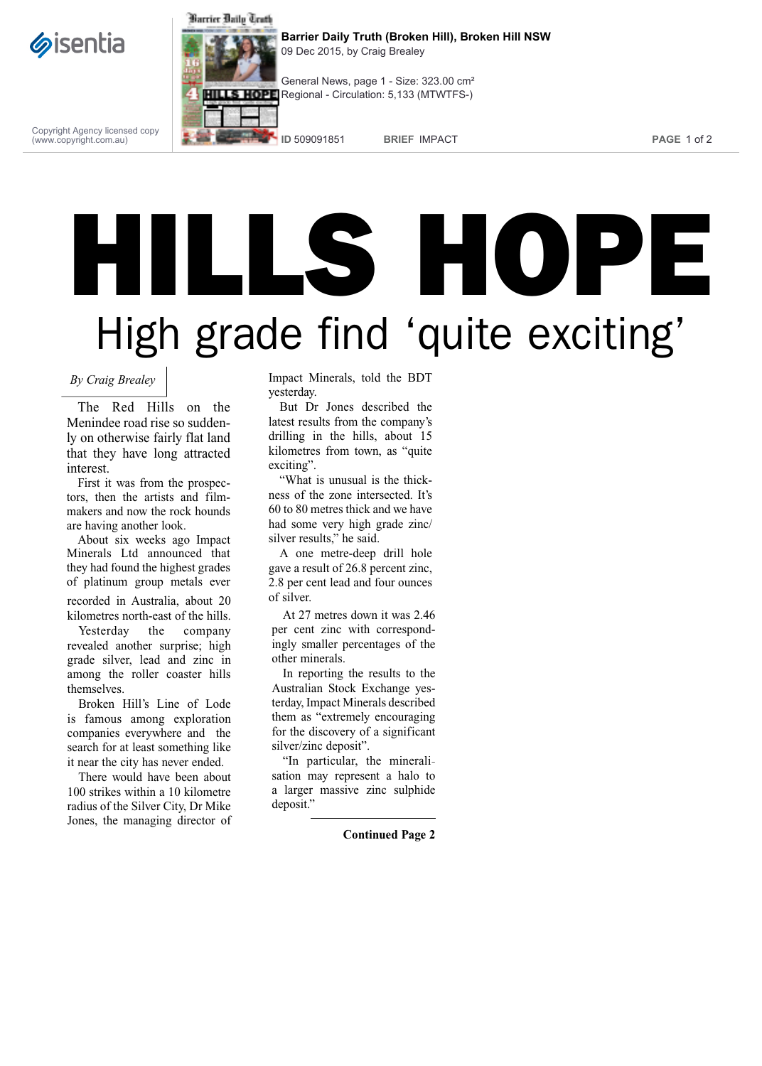



**Barrier Daily Truth (Broken Hill), Broken Hill NSW** 09 Dec 2015, by Craig Brealey



Copyright Agency licensed copy (www.copyright.com.au)

**ID** 509091851 **BRIEF** IMPACT **PAGE** 1 of 2

## HILLS HOPE High grade find 'quite exciting'

## *By Craig Brealey*

The Red Hills on the Menindee road rise so suddenly on otherwise fairly flat land that they have long attracted interest.

First it was from the prospectors, then the artists and filmmakers and now the rock hounds are having another look.

About six weeks ago Impact Minerals Ltd announced that they had found the highest grades of platinum group metals ever

recorded in Australia, about 20 kilometres north-east of the hills.

Yesterday the company revealed another surprise; high grade silver, lead and zinc in among the roller coaster hills themselves.

Broken Hill's Line of Lode is famous among exploration companies everywhere and the search for at least something like it near the city has never ended.

There would have been about 100 strikes within a 10 kilometre radius of the Silver City, Dr Mike Jones, the managing director of

Impact Minerals, told the BDT yesterday.

But Dr Jones described the latest results from the company's drilling in the hills, about 15 kilometres from town, as "quite exciting".

"What is unusual is the thickness of the zone intersected. It's 60 to 80 metres thick and we have had some very high grade zinc/ silver results," he said.

A one metre-deep drill hole gave a result of 26.8 percent zinc, 2.8 per cent lead and four ounces of silver.

At 27 metres down it was 2.46 per cent zinc with correspondingly smaller percentages of the other minerals.

In reporting the results to the Australian Stock Exchange yesterday, Impact Minerals described them as "extremely encouraging for the discovery of a significant silver/zinc deposit".

"In particular, the mineralisation may represent a halo to a larger massive zinc sulphide deposit."

**Continued Page 2**